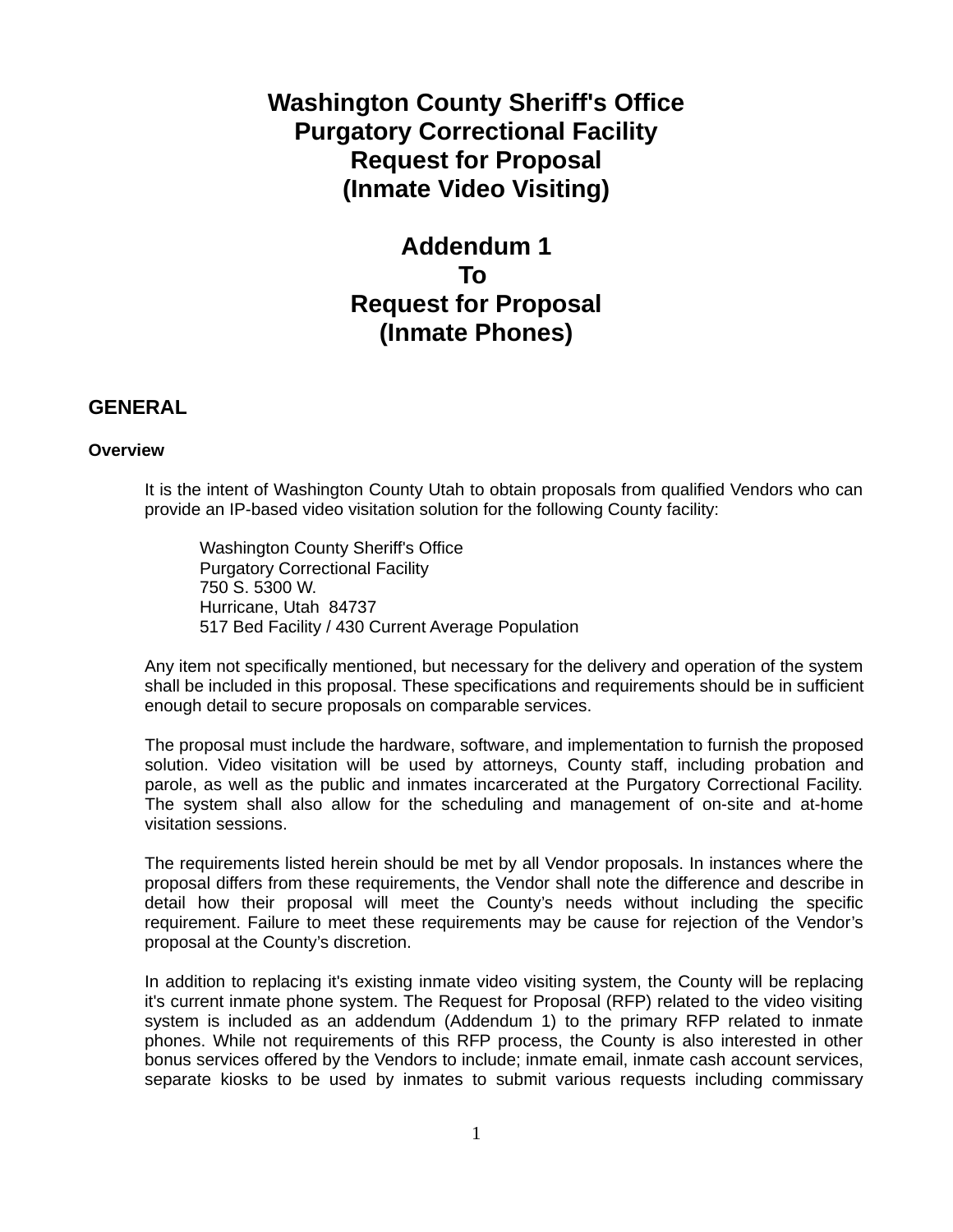# **Washington County Sheriff's Office Purgatory Correctional Facility Request for Proposal (Inmate Video Visiting)**

# **Addendum 1 To Request for Proposal (Inmate Phones)**

# **GENERAL**

# **Overview**

It is the intent of Washington County Utah to obtain proposals from qualified Vendors who can provide an IP-based video visitation solution for the following County facility:

Washington County Sheriff's Office Purgatory Correctional Facility 750 S. 5300 W. Hurricane, Utah 84737 517 Bed Facility / 430 Current Average Population

Any item not specifically mentioned, but necessary for the delivery and operation of the system shall be included in this proposal. These specifications and requirements should be in sufficient enough detail to secure proposals on comparable services.

The proposal must include the hardware, software, and implementation to furnish the proposed solution. Video visitation will be used by attorneys, County staff, including probation and parole, as well as the public and inmates incarcerated at the Purgatory Correctional Facility. The system shall also allow for the scheduling and management of on-site and at-home visitation sessions.

The requirements listed herein should be met by all Vendor proposals. In instances where the proposal differs from these requirements, the Vendor shall note the difference and describe in detail how their proposal will meet the County's needs without including the specific requirement. Failure to meet these requirements may be cause for rejection of the Vendor's proposal at the County's discretion.

In addition to replacing it's existing inmate video visiting system, the County will be replacing it's current inmate phone system. The Request for Proposal (RFP) related to the video visiting system is included as an addendum (Addendum 1) to the primary RFP related to inmate phones. While not requirements of this RFP process, the County is also interested in other bonus services offered by the Vendors to include; inmate email, inmate cash account services, separate kiosks to be used by inmates to submit various requests including commissary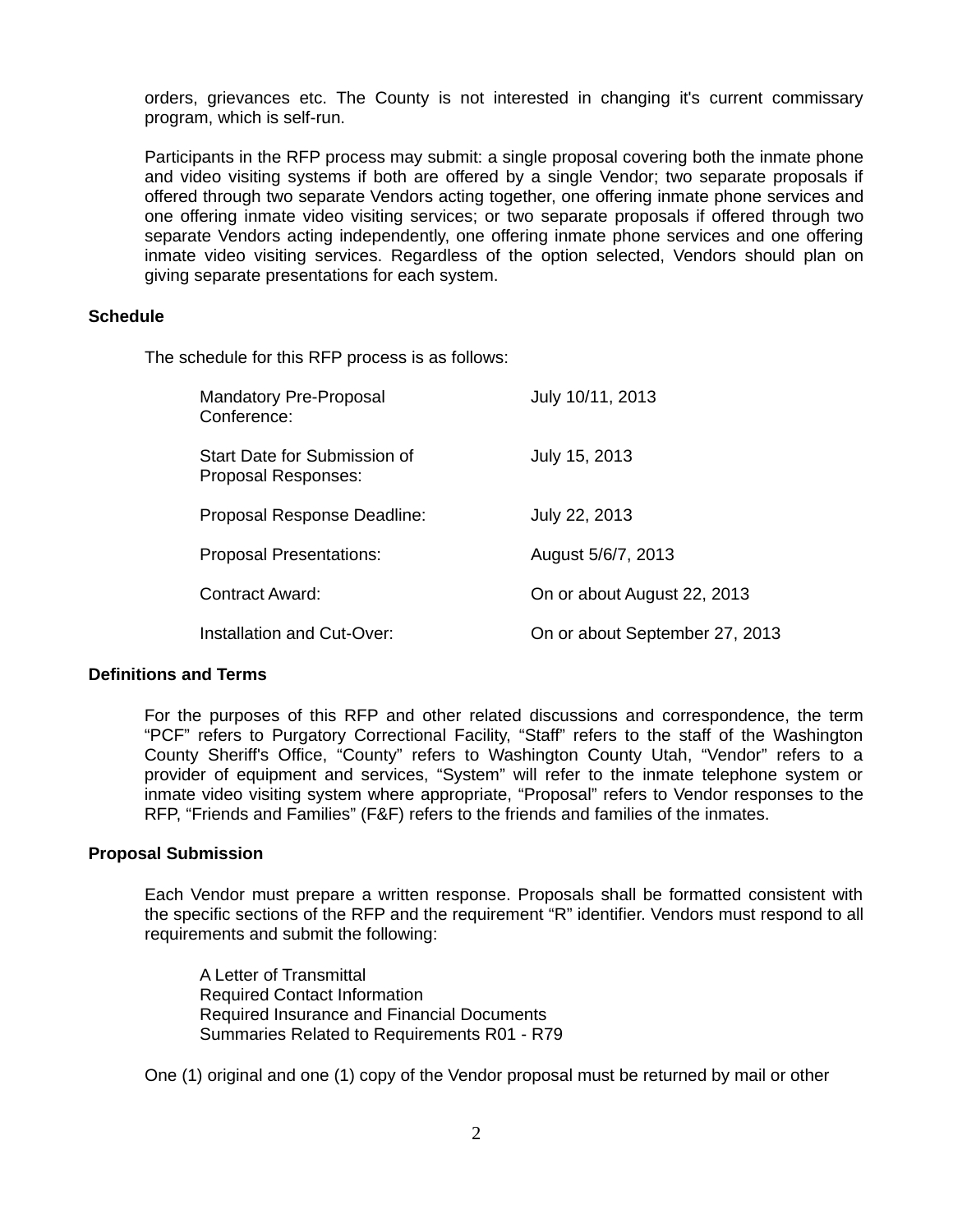orders, grievances etc. The County is not interested in changing it's current commissary program, which is self-run.

Participants in the RFP process may submit: a single proposal covering both the inmate phone and video visiting systems if both are offered by a single Vendor; two separate proposals if offered through two separate Vendors acting together, one offering inmate phone services and one offering inmate video visiting services; or two separate proposals if offered through two separate Vendors acting independently, one offering inmate phone services and one offering inmate video visiting services. Regardless of the option selected, Vendors should plan on giving separate presentations for each system.

# **Schedule**

The schedule for this RFP process is as follows:

| Mandatory Pre-Proposal<br>Conference:               | July 10/11, 2013               |
|-----------------------------------------------------|--------------------------------|
| Start Date for Submission of<br>Proposal Responses: | July 15, 2013                  |
| Proposal Response Deadline:                         | July 22, 2013                  |
| <b>Proposal Presentations:</b>                      | August 5/6/7, 2013             |
| Contract Award:                                     | On or about August 22, 2013    |
| Installation and Cut-Over:                          | On or about September 27, 2013 |

## **Definitions and Terms**

For the purposes of this RFP and other related discussions and correspondence, the term "PCF" refers to Purgatory Correctional Facility, "Staff" refers to the staff of the Washington County Sheriff's Office, "County" refers to Washington County Utah, "Vendor" refers to a provider of equipment and services, "System" will refer to the inmate telephone system or inmate video visiting system where appropriate, "Proposal" refers to Vendor responses to the RFP, "Friends and Families" (F&F) refers to the friends and families of the inmates.

#### **Proposal Submission**

Each Vendor must prepare a written response. Proposals shall be formatted consistent with the specific sections of the RFP and the requirement "R" identifier. Vendors must respond to all requirements and submit the following:

A Letter of Transmittal Required Contact Information Required Insurance and Financial Documents Summaries Related to Requirements R01 - R79

One (1) original and one (1) copy of the Vendor proposal must be returned by mail or other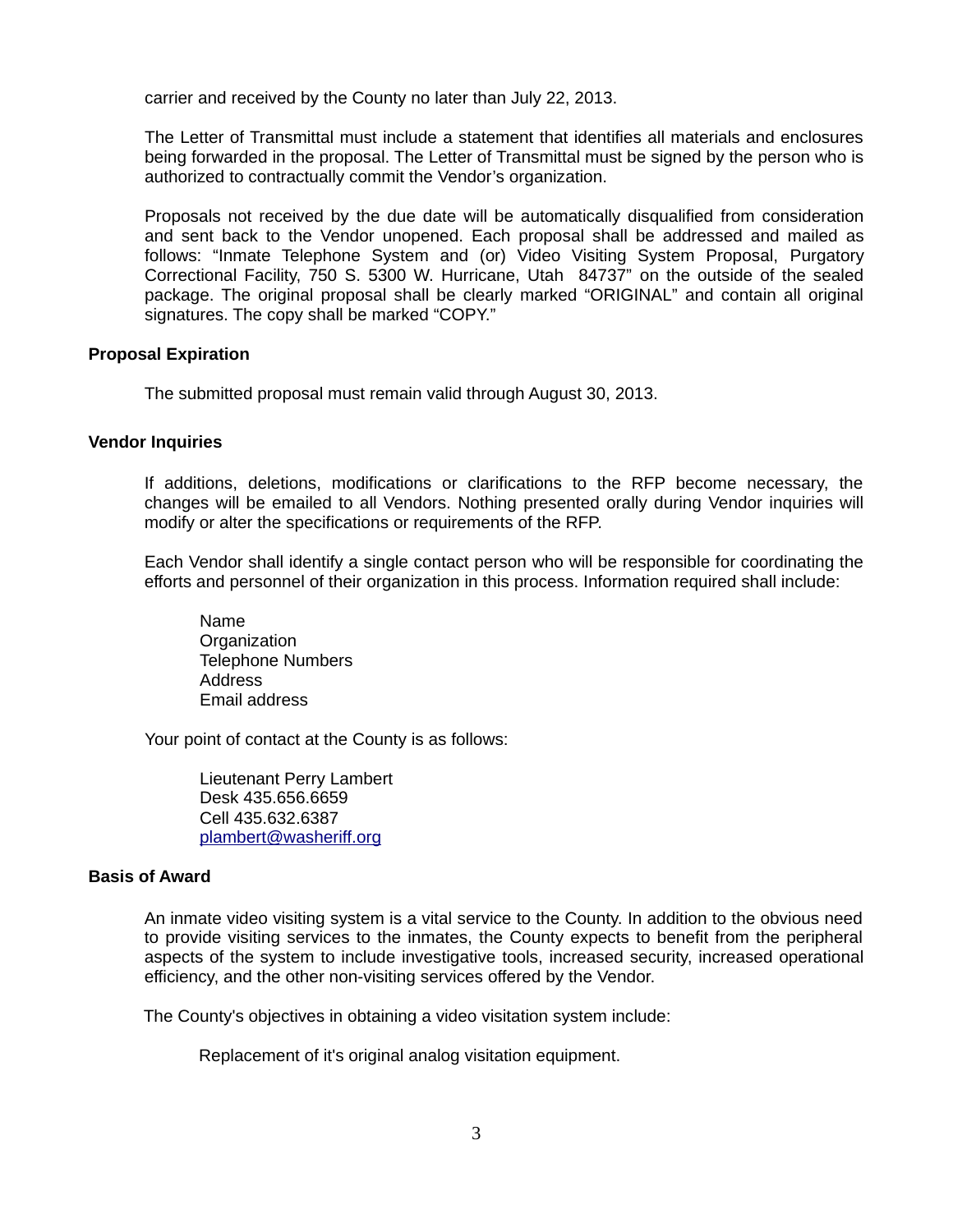carrier and received by the County no later than July 22, 2013.

The Letter of Transmittal must include a statement that identifies all materials and enclosures being forwarded in the proposal. The Letter of Transmittal must be signed by the person who is authorized to contractually commit the Vendor's organization.

Proposals not received by the due date will be automatically disqualified from consideration and sent back to the Vendor unopened. Each proposal shall be addressed and mailed as follows: "Inmate Telephone System and (or) Video Visiting System Proposal, Purgatory Correctional Facility, 750 S. 5300 W. Hurricane, Utah 84737" on the outside of the sealed package. The original proposal shall be clearly marked "ORIGINAL" and contain all original signatures. The copy shall be marked "COPY."

# **Proposal Expiration**

The submitted proposal must remain valid through August 30, 2013.

# **Vendor Inquiries**

If additions, deletions, modifications or clarifications to the RFP become necessary, the changes will be emailed to all Vendors. Nothing presented orally during Vendor inquiries will modify or alter the specifications or requirements of the RFP.

Each Vendor shall identify a single contact person who will be responsible for coordinating the efforts and personnel of their organization in this process. Information required shall include:

Name **Organization** Telephone Numbers Address Email address

Your point of contact at the County is as follows:

Lieutenant Perry Lambert Desk 435.656.6659 Cell 435.632.6387 [plambert@washeriff.org](mailto:plambert@washeriff.org)

#### **Basis of Award**

An inmate video visiting system is a vital service to the County. In addition to the obvious need to provide visiting services to the inmates, the County expects to benefit from the peripheral aspects of the system to include investigative tools, increased security, increased operational efficiency, and the other non-visiting services offered by the Vendor.

The County's objectives in obtaining a video visitation system include:

Replacement of it's original analog visitation equipment.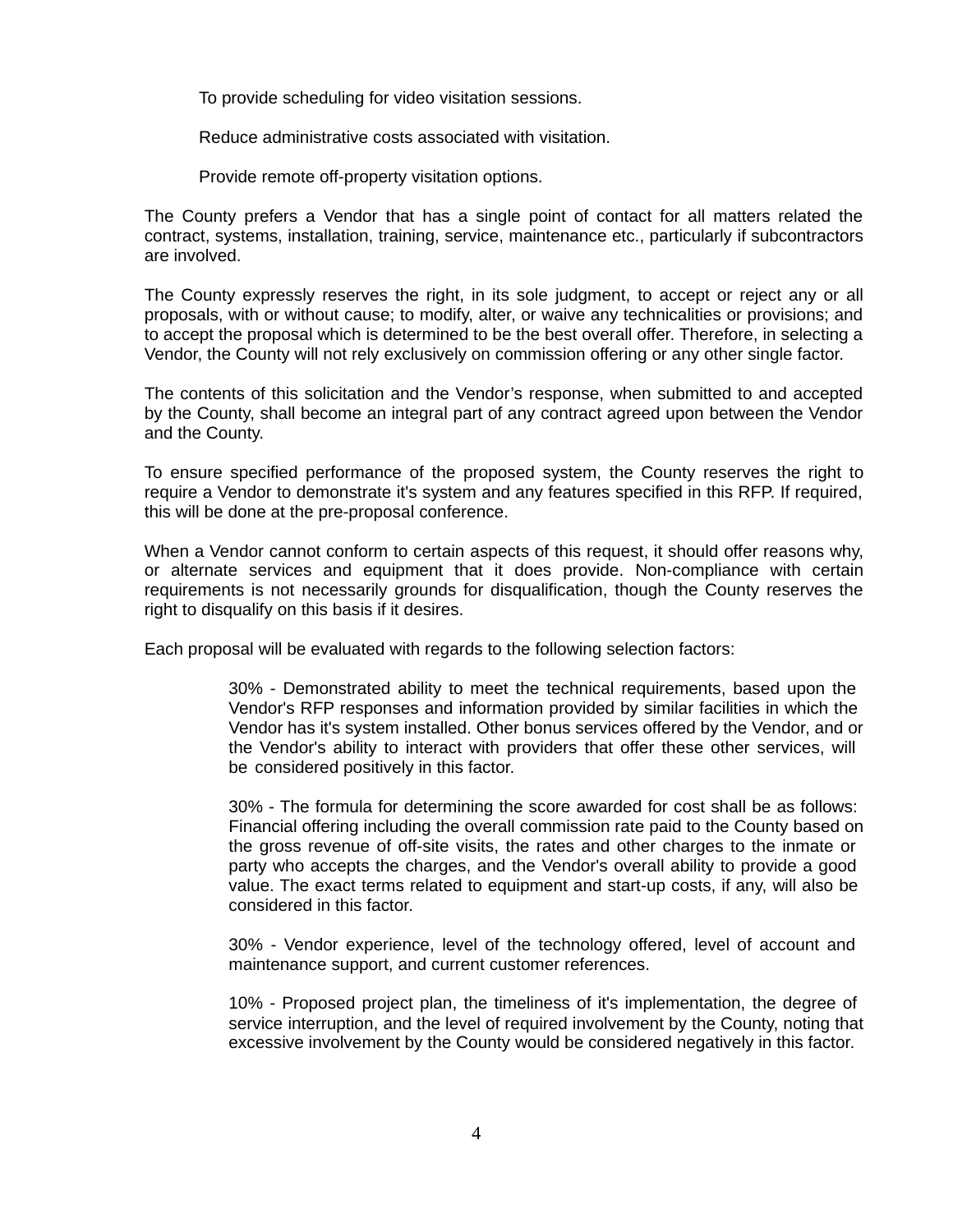To provide scheduling for video visitation sessions.

Reduce administrative costs associated with visitation.

Provide remote off-property visitation options.

The County prefers a Vendor that has a single point of contact for all matters related the contract, systems, installation, training, service, maintenance etc., particularly if subcontractors are involved.

The County expressly reserves the right, in its sole judgment, to accept or reject any or all proposals, with or without cause; to modify, alter, or waive any technicalities or provisions; and to accept the proposal which is determined to be the best overall offer. Therefore, in selecting a Vendor, the County will not rely exclusively on commission offering or any other single factor.

The contents of this solicitation and the Vendor's response, when submitted to and accepted by the County, shall become an integral part of any contract agreed upon between the Vendor and the County.

To ensure specified performance of the proposed system, the County reserves the right to require a Vendor to demonstrate it's system and any features specified in this RFP. If required, this will be done at the pre-proposal conference.

When a Vendor cannot conform to certain aspects of this request, it should offer reasons why, or alternate services and equipment that it does provide. Non-compliance with certain requirements is not necessarily grounds for disqualification, though the County reserves the right to disqualify on this basis if it desires.

Each proposal will be evaluated with regards to the following selection factors:

30% - Demonstrated ability to meet the technical requirements, based upon the Vendor's RFP responses and information provided by similar facilities in which the Vendor has it's system installed. Other bonus services offered by the Vendor, and or the Vendor's ability to interact with providers that offer these other services, will be considered positively in this factor.

30% - The formula for determining the score awarded for cost shall be as follows: Financial offering including the overall commission rate paid to the County based on the gross revenue of off-site visits, the rates and other charges to the inmate or party who accepts the charges, and the Vendor's overall ability to provide a good value. The exact terms related to equipment and start-up costs, if any, will also be considered in this factor.

30% - Vendor experience, level of the technology offered, level of account and maintenance support, and current customer references.

10% - Proposed project plan, the timeliness of it's implementation, the degree of service interruption, and the level of required involvement by the County, noting that excessive involvement by the County would be considered negatively in this factor.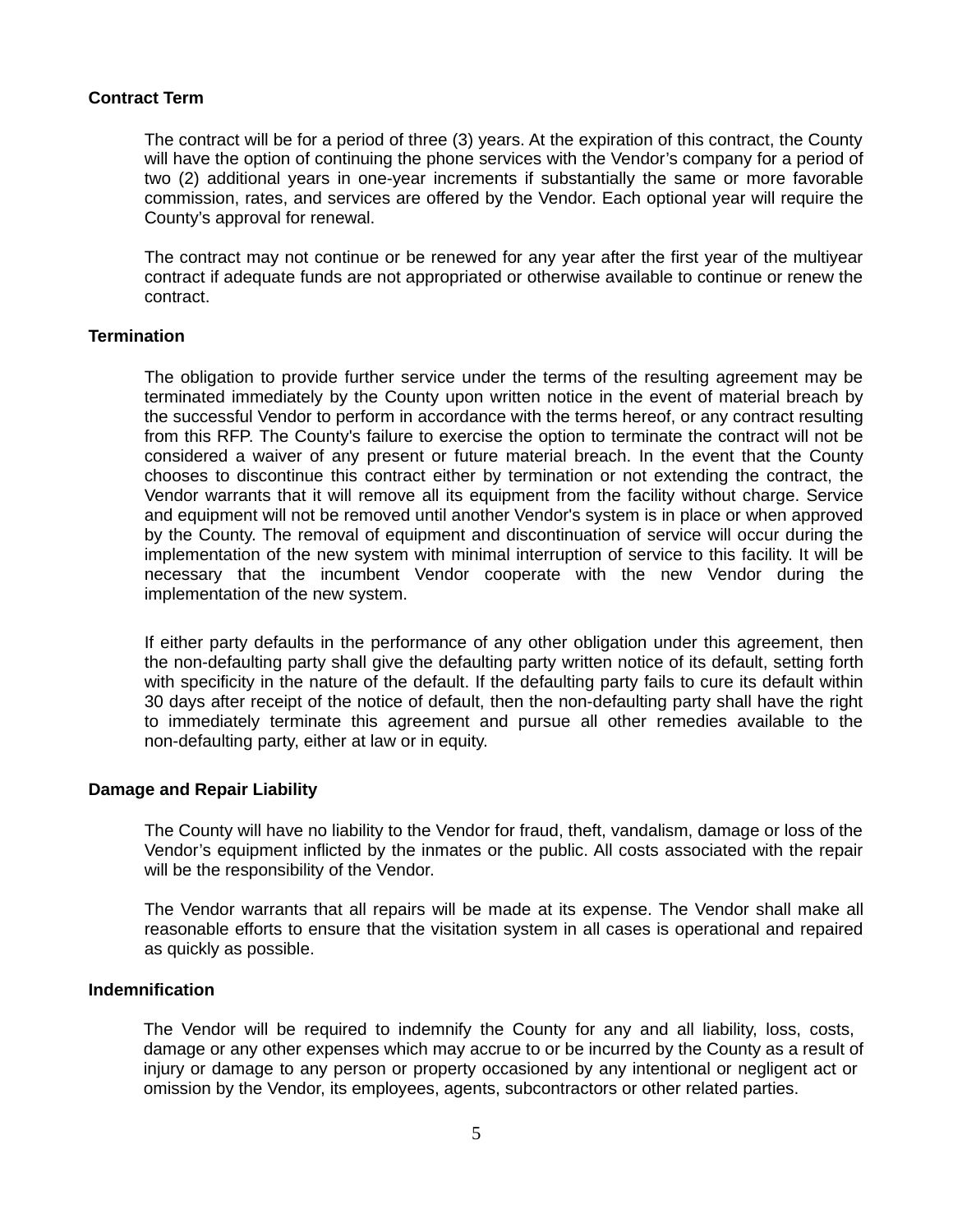# **Contract Term**

The contract will be for a period of three (3) years. At the expiration of this contract, the County will have the option of continuing the phone services with the Vendor's company for a period of two (2) additional years in one-year increments if substantially the same or more favorable commission, rates, and services are offered by the Vendor. Each optional year will require the County's approval for renewal.

The contract may not continue or be renewed for any year after the first year of the multiyear contract if adequate funds are not appropriated or otherwise available to continue or renew the contract.

# **Termination**

The obligation to provide further service under the terms of the resulting agreement may be terminated immediately by the County upon written notice in the event of material breach by the successful Vendor to perform in accordance with the terms hereof, or any contract resulting from this RFP. The County's failure to exercise the option to terminate the contract will not be considered a waiver of any present or future material breach. In the event that the County chooses to discontinue this contract either by termination or not extending the contract, the Vendor warrants that it will remove all its equipment from the facility without charge. Service and equipment will not be removed until another Vendor's system is in place or when approved by the County. The removal of equipment and discontinuation of service will occur during the implementation of the new system with minimal interruption of service to this facility. It will be necessary that the incumbent Vendor cooperate with the new Vendor during the implementation of the new system.

If either party defaults in the performance of any other obligation under this agreement, then the non-defaulting party shall give the defaulting party written notice of its default, setting forth with specificity in the nature of the default. If the defaulting party fails to cure its default within 30 days after receipt of the notice of default, then the non-defaulting party shall have the right to immediately terminate this agreement and pursue all other remedies available to the non-defaulting party, either at law or in equity.

## **Damage and Repair Liability**

The County will have no liability to the Vendor for fraud, theft, vandalism, damage or loss of the Vendor's equipment inflicted by the inmates or the public. All costs associated with the repair will be the responsibility of the Vendor.

The Vendor warrants that all repairs will be made at its expense. The Vendor shall make all reasonable efforts to ensure that the visitation system in all cases is operational and repaired as quickly as possible.

#### **Indemnification**

The Vendor will be required to indemnify the County for any and all liability, loss, costs, damage or any other expenses which may accrue to or be incurred by the County as a result of injury or damage to any person or property occasioned by any intentional or negligent act or omission by the Vendor, its employees, agents, subcontractors or other related parties.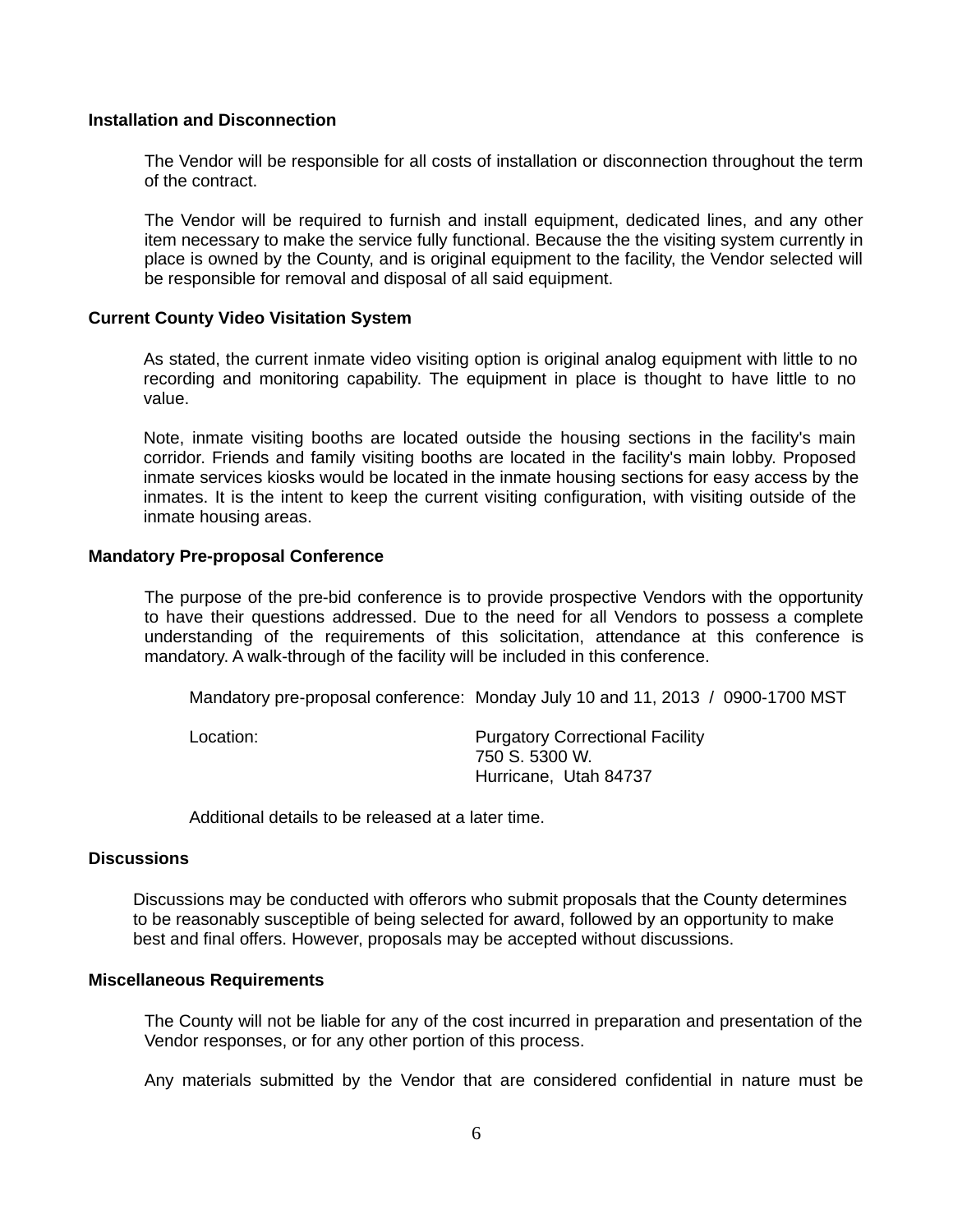# **Installation and Disconnection**

The Vendor will be responsible for all costs of installation or disconnection throughout the term of the contract.

The Vendor will be required to furnish and install equipment, dedicated lines, and any other item necessary to make the service fully functional. Because the the visiting system currently in place is owned by the County, and is original equipment to the facility, the Vendor selected will be responsible for removal and disposal of all said equipment.

# **Current County Video Visitation System**

As stated, the current inmate video visiting option is original analog equipment with little to no recording and monitoring capability. The equipment in place is thought to have little to no value.

Note, inmate visiting booths are located outside the housing sections in the facility's main corridor. Friends and family visiting booths are located in the facility's main lobby. Proposed inmate services kiosks would be located in the inmate housing sections for easy access by the inmates. It is the intent to keep the current visiting configuration, with visiting outside of the inmate housing areas.

# **Mandatory Pre-proposal Conference**

The purpose of the pre-bid conference is to provide prospective Vendors with the opportunity to have their questions addressed. Due to the need for all Vendors to possess a complete understanding of the requirements of this solicitation, attendance at this conference is mandatory. A walk-through of the facility will be included in this conference.

Mandatory pre-proposal conference: Monday July 10 and 11, 2013 / 0900-1700 MST

Location: Purgatory Correctional Facility 750 S. 5300 W. Hurricane, Utah 84737

Additional details to be released at a later time.

#### **Discussions**

Discussions may be conducted with offerors who submit proposals that the County determines to be reasonably susceptible of being selected for award, followed by an opportunity to make best and final offers. However, proposals may be accepted without discussions.

# **Miscellaneous Requirements**

The County will not be liable for any of the cost incurred in preparation and presentation of the Vendor responses, or for any other portion of this process.

Any materials submitted by the Vendor that are considered confidential in nature must be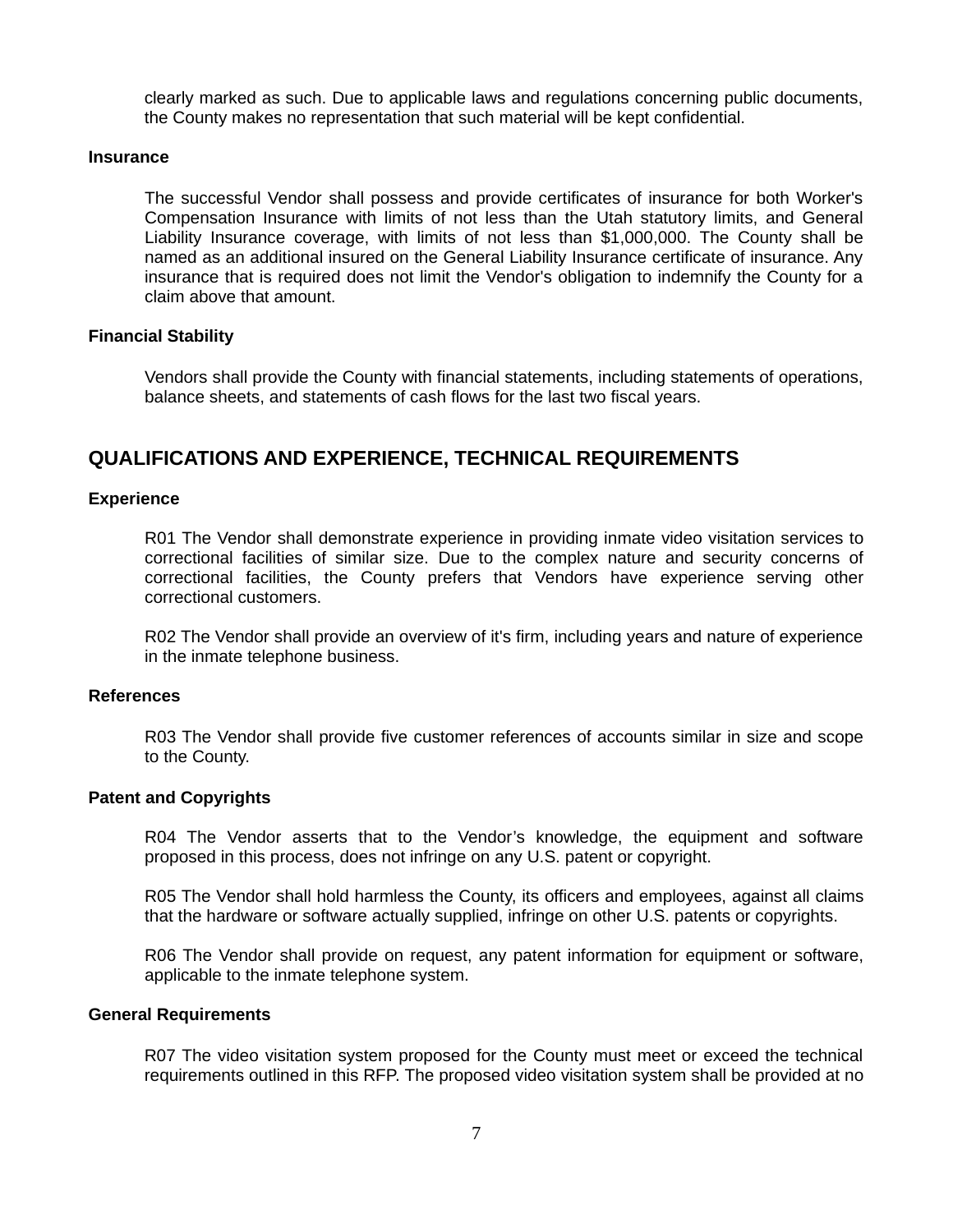clearly marked as such. Due to applicable laws and regulations concerning public documents, the County makes no representation that such material will be kept confidential.

#### **Insurance**

The successful Vendor shall possess and provide certificates of insurance for both Worker's Compensation Insurance with limits of not less than the Utah statutory limits, and General Liability Insurance coverage, with limits of not less than \$1,000,000. The County shall be named as an additional insured on the General Liability Insurance certificate of insurance. Any insurance that is required does not limit the Vendor's obligation to indemnify the County for a claim above that amount.

#### **Financial Stability**

Vendors shall provide the County with financial statements, including statements of operations, balance sheets, and statements of cash flows for the last two fiscal years.

# **QUALIFICATIONS AND EXPERIENCE, TECHNICAL REQUIREMENTS**

#### **Experience**

R01 The Vendor shall demonstrate experience in providing inmate video visitation services to correctional facilities of similar size. Due to the complex nature and security concerns of correctional facilities, the County prefers that Vendors have experience serving other correctional customers.

R02 The Vendor shall provide an overview of it's firm, including years and nature of experience in the inmate telephone business.

# **References**

R03 The Vendor shall provide five customer references of accounts similar in size and scope to the County.

#### **Patent and Copyrights**

R04 The Vendor asserts that to the Vendor's knowledge, the equipment and software proposed in this process, does not infringe on any U.S. patent or copyright.

R05 The Vendor shall hold harmless the County, its officers and employees, against all claims that the hardware or software actually supplied, infringe on other U.S. patents or copyrights.

R06 The Vendor shall provide on request, any patent information for equipment or software, applicable to the inmate telephone system.

#### **General Requirements**

R07 The video visitation system proposed for the County must meet or exceed the technical requirements outlined in this RFP. The proposed video visitation system shall be provided at no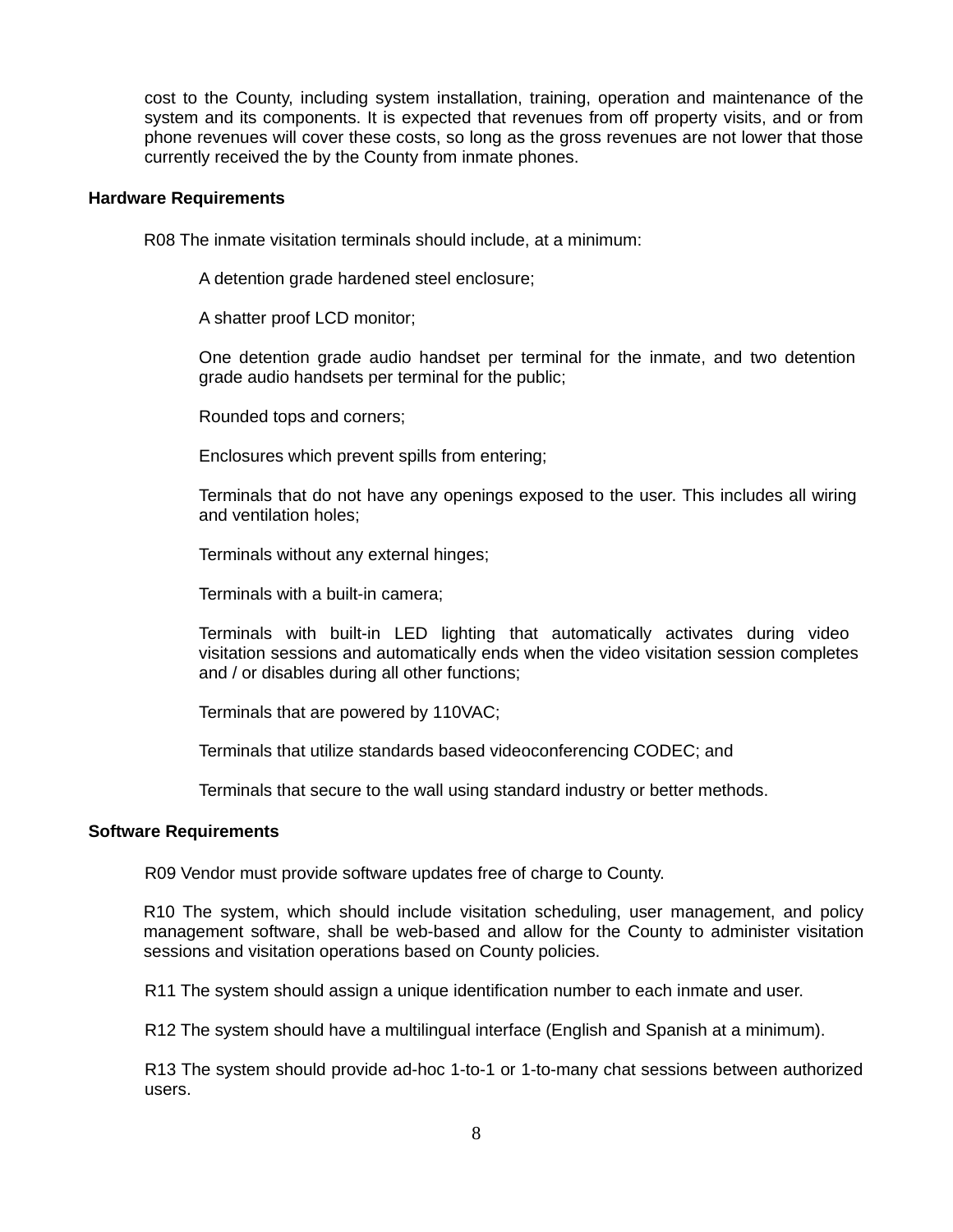cost to the County, including system installation, training, operation and maintenance of the system and its components. It is expected that revenues from off property visits, and or from phone revenues will cover these costs, so long as the gross revenues are not lower that those currently received the by the County from inmate phones.

## **Hardware Requirements**

R08 The inmate visitation terminals should include, at a minimum:

A detention grade hardened steel enclosure;

A shatter proof LCD monitor;

One detention grade audio handset per terminal for the inmate, and two detention grade audio handsets per terminal for the public;

Rounded tops and corners;

Enclosures which prevent spills from entering;

Terminals that do not have any openings exposed to the user. This includes all wiring and ventilation holes;

Terminals without any external hinges;

Terminals with a built-in camera;

Terminals with built-in LED lighting that automatically activates during video visitation sessions and automatically ends when the video visitation session completes and / or disables during all other functions;

Terminals that are powered by 110VAC;

Terminals that utilize standards based videoconferencing CODEC; and

Terminals that secure to the wall using standard industry or better methods.

# **Software Requirements**

R09 Vendor must provide software updates free of charge to County.

R10 The system, which should include visitation scheduling, user management, and policy management software, shall be web-based and allow for the County to administer visitation sessions and visitation operations based on County policies.

R11 The system should assign a unique identification number to each inmate and user.

R12 The system should have a multilingual interface (English and Spanish at a minimum).

R13 The system should provide ad-hoc 1-to-1 or 1-to-many chat sessions between authorized users.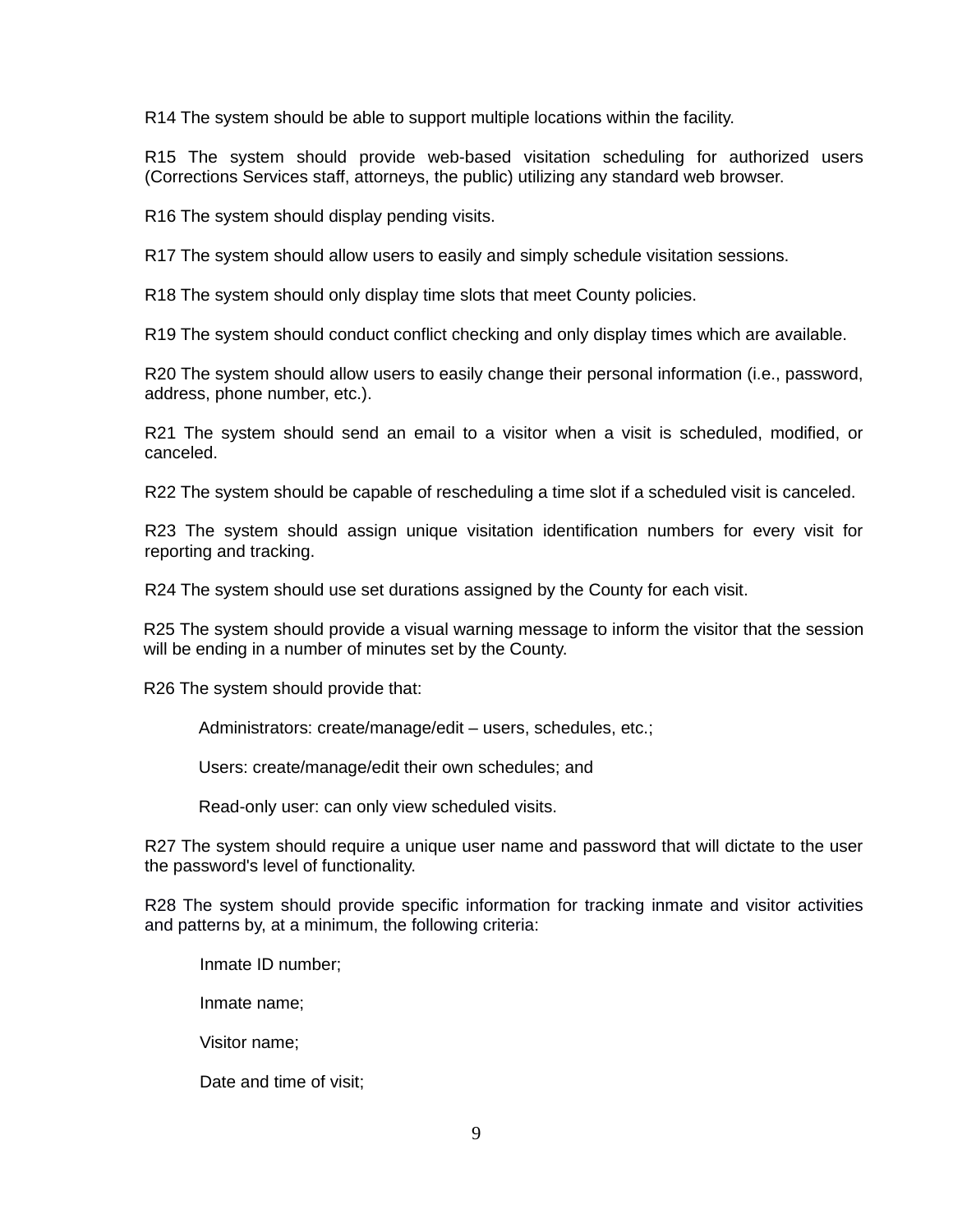R14 The system should be able to support multiple locations within the facility.

R15 The system should provide web-based visitation scheduling for authorized users (Corrections Services staff, attorneys, the public) utilizing any standard web browser.

R16 The system should display pending visits.

R17 The system should allow users to easily and simply schedule visitation sessions.

R18 The system should only display time slots that meet County policies.

R19 The system should conduct conflict checking and only display times which are available.

R20 The system should allow users to easily change their personal information (i.e., password, address, phone number, etc.).

R21 The system should send an email to a visitor when a visit is scheduled, modified, or canceled.

R22 The system should be capable of rescheduling a time slot if a scheduled visit is canceled.

R23 The system should assign unique visitation identification numbers for every visit for reporting and tracking.

R24 The system should use set durations assigned by the County for each visit.

R25 The system should provide a visual warning message to inform the visitor that the session will be ending in a number of minutes set by the County.

R26 The system should provide that:

Administrators: create/manage/edit – users, schedules, etc.;

Users: create/manage/edit their own schedules; and

Read-only user: can only view scheduled visits.

R27 The system should require a unique user name and password that will dictate to the user the password's level of functionality.

R28 The system should provide specific information for tracking inmate and visitor activities and patterns by, at a minimum, the following criteria:

Inmate ID number;

Inmate name;

Visitor name;

Date and time of visit;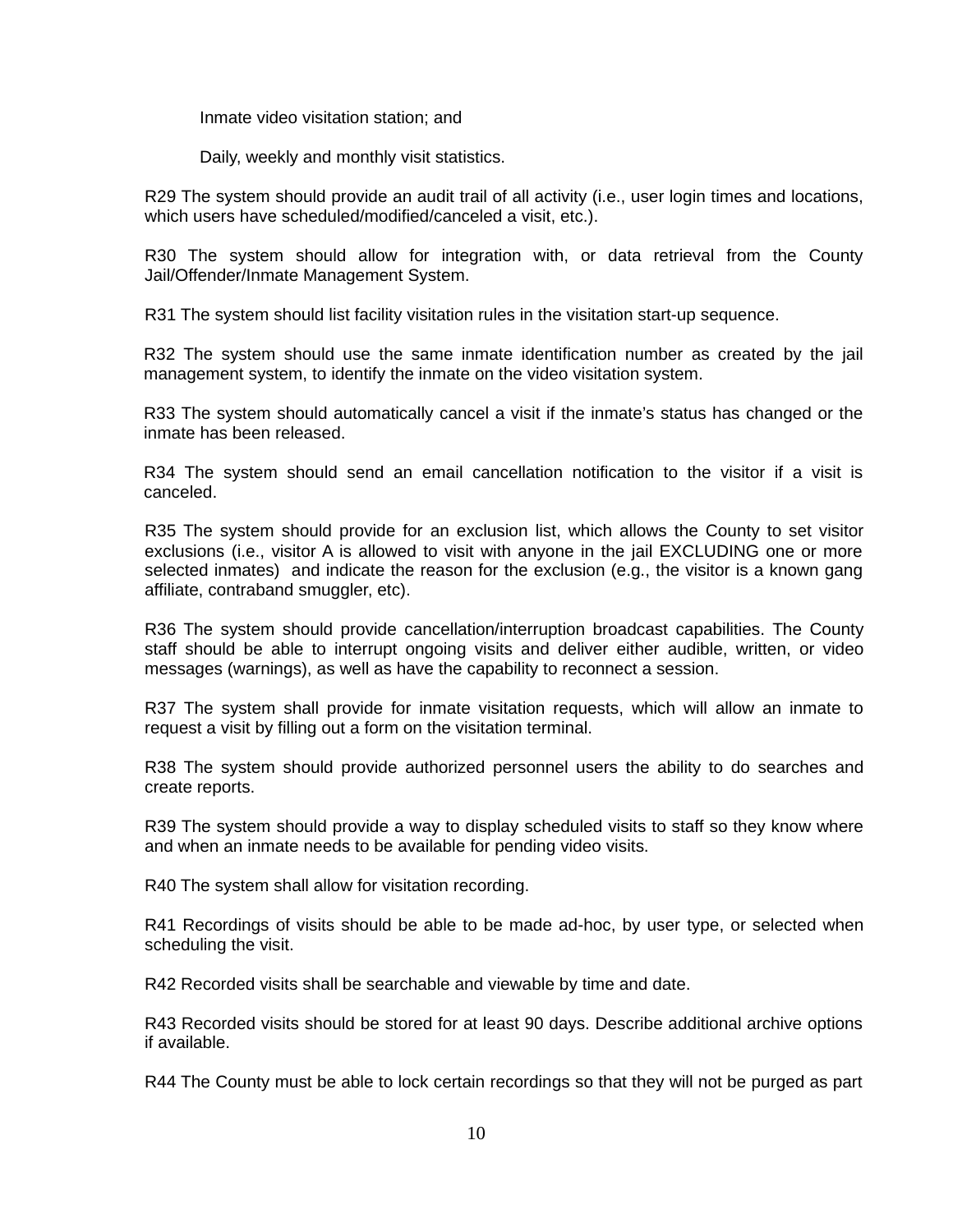Inmate video visitation station; and

Daily, weekly and monthly visit statistics.

R29 The system should provide an audit trail of all activity (i.e., user login times and locations, which users have scheduled/modified/canceled a visit, etc.).

R30 The system should allow for integration with, or data retrieval from the County Jail/Offender/Inmate Management System.

R31 The system should list facility visitation rules in the visitation start-up sequence.

R32 The system should use the same inmate identification number as created by the jail management system, to identify the inmate on the video visitation system.

R33 The system should automatically cancel a visit if the inmate's status has changed or the inmate has been released.

R34 The system should send an email cancellation notification to the visitor if a visit is canceled.

R35 The system should provide for an exclusion list, which allows the County to set visitor exclusions (i.e., visitor A is allowed to visit with anyone in the jail EXCLUDING one or more selected inmates) and indicate the reason for the exclusion (e.g., the visitor is a known gang affiliate, contraband smuggler, etc).

R36 The system should provide cancellation/interruption broadcast capabilities. The County staff should be able to interrupt ongoing visits and deliver either audible, written, or video messages (warnings), as well as have the capability to reconnect a session.

R37 The system shall provide for inmate visitation requests, which will allow an inmate to request a visit by filling out a form on the visitation terminal.

R38 The system should provide authorized personnel users the ability to do searches and create reports.

R39 The system should provide a way to display scheduled visits to staff so they know where and when an inmate needs to be available for pending video visits.

R40 The system shall allow for visitation recording.

R41 Recordings of visits should be able to be made ad-hoc, by user type, or selected when scheduling the visit.

R42 Recorded visits shall be searchable and viewable by time and date.

R43 Recorded visits should be stored for at least 90 days. Describe additional archive options if available.

R44 The County must be able to lock certain recordings so that they will not be purged as part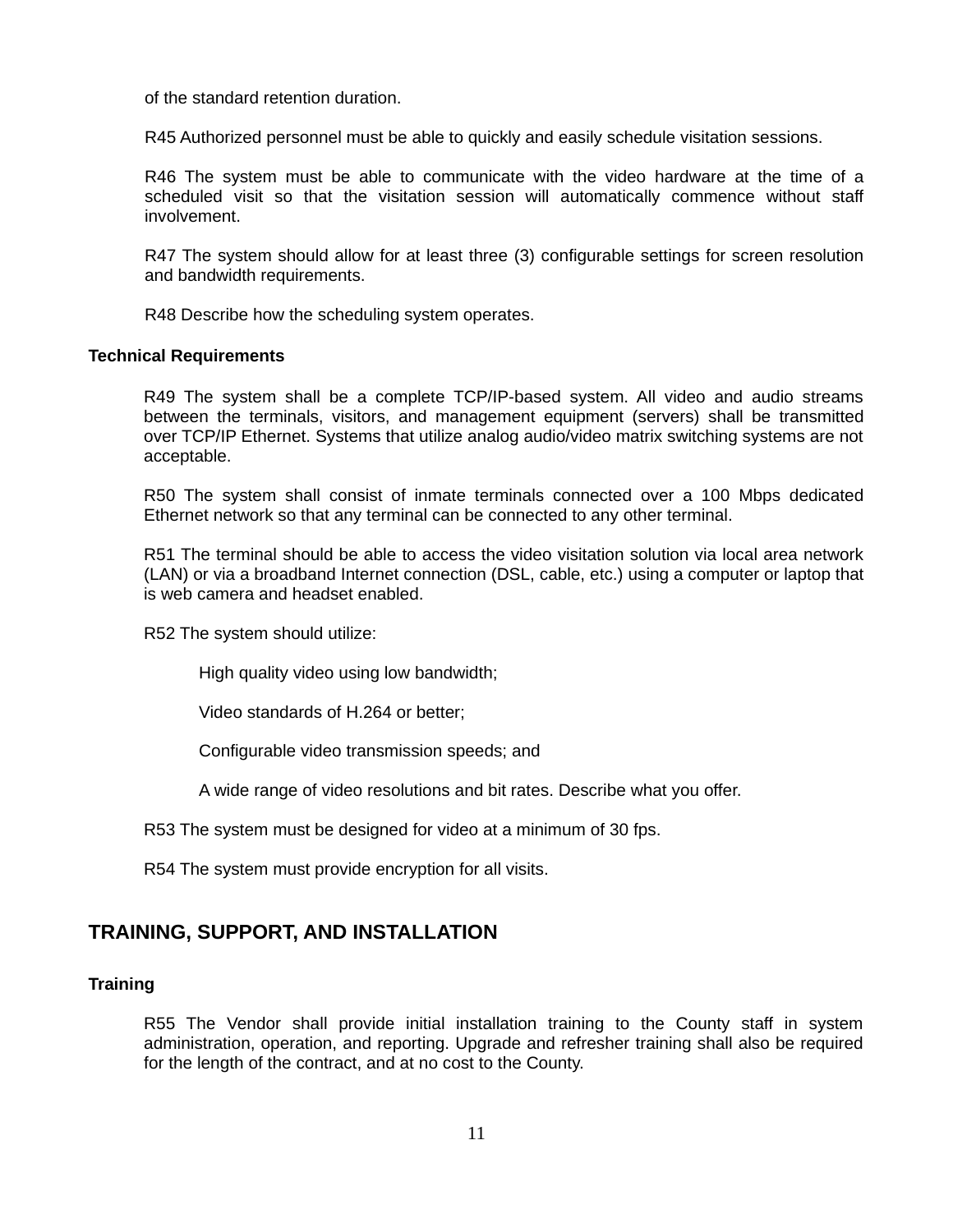of the standard retention duration.

R45 Authorized personnel must be able to quickly and easily schedule visitation sessions.

R46 The system must be able to communicate with the video hardware at the time of a scheduled visit so that the visitation session will automatically commence without staff involvement.

R47 The system should allow for at least three (3) configurable settings for screen resolution and bandwidth requirements.

R48 Describe how the scheduling system operates.

# **Technical Requirements**

R49 The system shall be a complete TCP/IP-based system. All video and audio streams between the terminals, visitors, and management equipment (servers) shall be transmitted over TCP/IP Ethernet. Systems that utilize analog audio/video matrix switching systems are not acceptable.

R50 The system shall consist of inmate terminals connected over a 100 Mbps dedicated Ethernet network so that any terminal can be connected to any other terminal.

R51 The terminal should be able to access the video visitation solution via local area network (LAN) or via a broadband Internet connection (DSL, cable, etc.) using a computer or laptop that is web camera and headset enabled.

R52 The system should utilize:

High quality video using low bandwidth;

Video standards of H.264 or better;

Configurable video transmission speeds; and

A wide range of video resolutions and bit rates. Describe what you offer.

R53 The system must be designed for video at a minimum of 30 fps.

R54 The system must provide encryption for all visits.

# **TRAINING, SUPPORT, AND INSTALLATION**

#### **Training**

R55 The Vendor shall provide initial installation training to the County staff in system administration, operation, and reporting. Upgrade and refresher training shall also be required for the length of the contract, and at no cost to the County.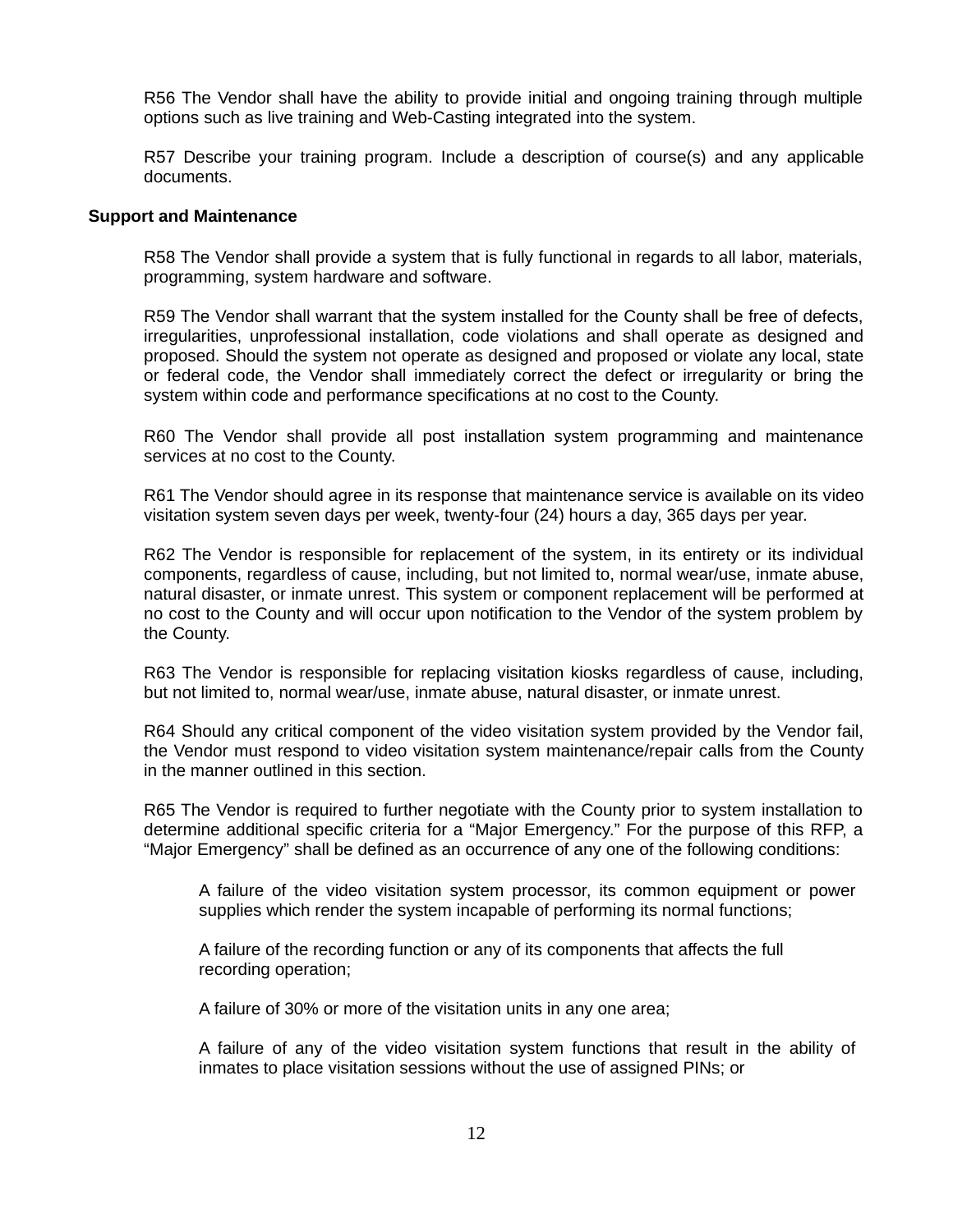R56 The Vendor shall have the ability to provide initial and ongoing training through multiple options such as live training and Web-Casting integrated into the system.

R57 Describe your training program. Include a description of course(s) and any applicable documents.

#### **Support and Maintenance**

R58 The Vendor shall provide a system that is fully functional in regards to all labor, materials, programming, system hardware and software.

R59 The Vendor shall warrant that the system installed for the County shall be free of defects, irregularities, unprofessional installation, code violations and shall operate as designed and proposed. Should the system not operate as designed and proposed or violate any local, state or federal code, the Vendor shall immediately correct the defect or irregularity or bring the system within code and performance specifications at no cost to the County.

R60 The Vendor shall provide all post installation system programming and maintenance services at no cost to the County.

R61 The Vendor should agree in its response that maintenance service is available on its video visitation system seven days per week, twenty-four (24) hours a day, 365 days per year.

R62 The Vendor is responsible for replacement of the system, in its entirety or its individual components, regardless of cause, including, but not limited to, normal wear/use, inmate abuse, natural disaster, or inmate unrest. This system or component replacement will be performed at no cost to the County and will occur upon notification to the Vendor of the system problem by the County.

R63 The Vendor is responsible for replacing visitation kiosks regardless of cause, including, but not limited to, normal wear/use, inmate abuse, natural disaster, or inmate unrest.

R64 Should any critical component of the video visitation system provided by the Vendor fail, the Vendor must respond to video visitation system maintenance/repair calls from the County in the manner outlined in this section.

R65 The Vendor is required to further negotiate with the County prior to system installation to determine additional specific criteria for a "Major Emergency." For the purpose of this RFP, a "Major Emergency" shall be defined as an occurrence of any one of the following conditions:

A failure of the video visitation system processor, its common equipment or power supplies which render the system incapable of performing its normal functions;

A failure of the recording function or any of its components that affects the full recording operation;

A failure of 30% or more of the visitation units in any one area;

A failure of any of the video visitation system functions that result in the ability of inmates to place visitation sessions without the use of assigned PINs; or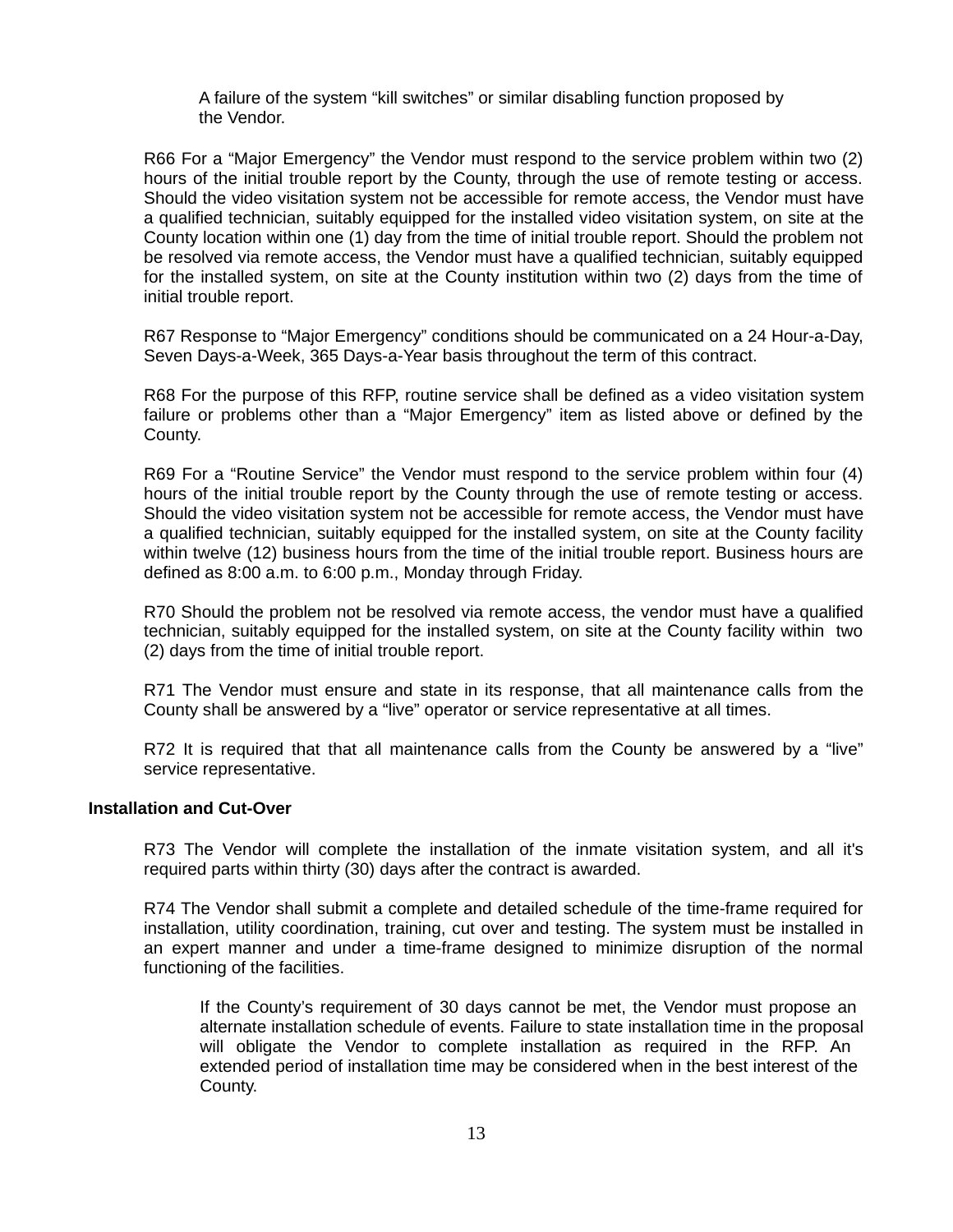A failure of the system "kill switches" or similar disabling function proposed by the Vendor.

R66 For a "Major Emergency" the Vendor must respond to the service problem within two (2) hours of the initial trouble report by the County, through the use of remote testing or access. Should the video visitation system not be accessible for remote access, the Vendor must have a qualified technician, suitably equipped for the installed video visitation system, on site at the County location within one (1) day from the time of initial trouble report. Should the problem not be resolved via remote access, the Vendor must have a qualified technician, suitably equipped for the installed system, on site at the County institution within two (2) days from the time of initial trouble report.

R67 Response to "Major Emergency" conditions should be communicated on a 24 Hour-a-Day, Seven Days-a-Week, 365 Days-a-Year basis throughout the term of this contract.

R68 For the purpose of this RFP, routine service shall be defined as a video visitation system failure or problems other than a "Major Emergency" item as listed above or defined by the County.

R69 For a "Routine Service" the Vendor must respond to the service problem within four (4) hours of the initial trouble report by the County through the use of remote testing or access. Should the video visitation system not be accessible for remote access, the Vendor must have a qualified technician, suitably equipped for the installed system, on site at the County facility within twelve (12) business hours from the time of the initial trouble report. Business hours are defined as 8:00 a.m. to 6:00 p.m., Monday through Friday.

R70 Should the problem not be resolved via remote access, the vendor must have a qualified technician, suitably equipped for the installed system, on site at the County facility within two (2) days from the time of initial trouble report.

R71 The Vendor must ensure and state in its response, that all maintenance calls from the County shall be answered by a "live" operator or service representative at all times.

R72 It is required that that all maintenance calls from the County be answered by a "live" service representative.

#### **Installation and Cut-Over**

R73 The Vendor will complete the installation of the inmate visitation system, and all it's required parts within thirty (30) days after the contract is awarded.

R74 The Vendor shall submit a complete and detailed schedule of the time-frame required for installation, utility coordination, training, cut over and testing. The system must be installed in an expert manner and under a time-frame designed to minimize disruption of the normal functioning of the facilities.

If the County's requirement of 30 days cannot be met, the Vendor must propose an alternate installation schedule of events. Failure to state installation time in the proposal will obligate the Vendor to complete installation as required in the RFP. An extended period of installation time may be considered when in the best interest of the County.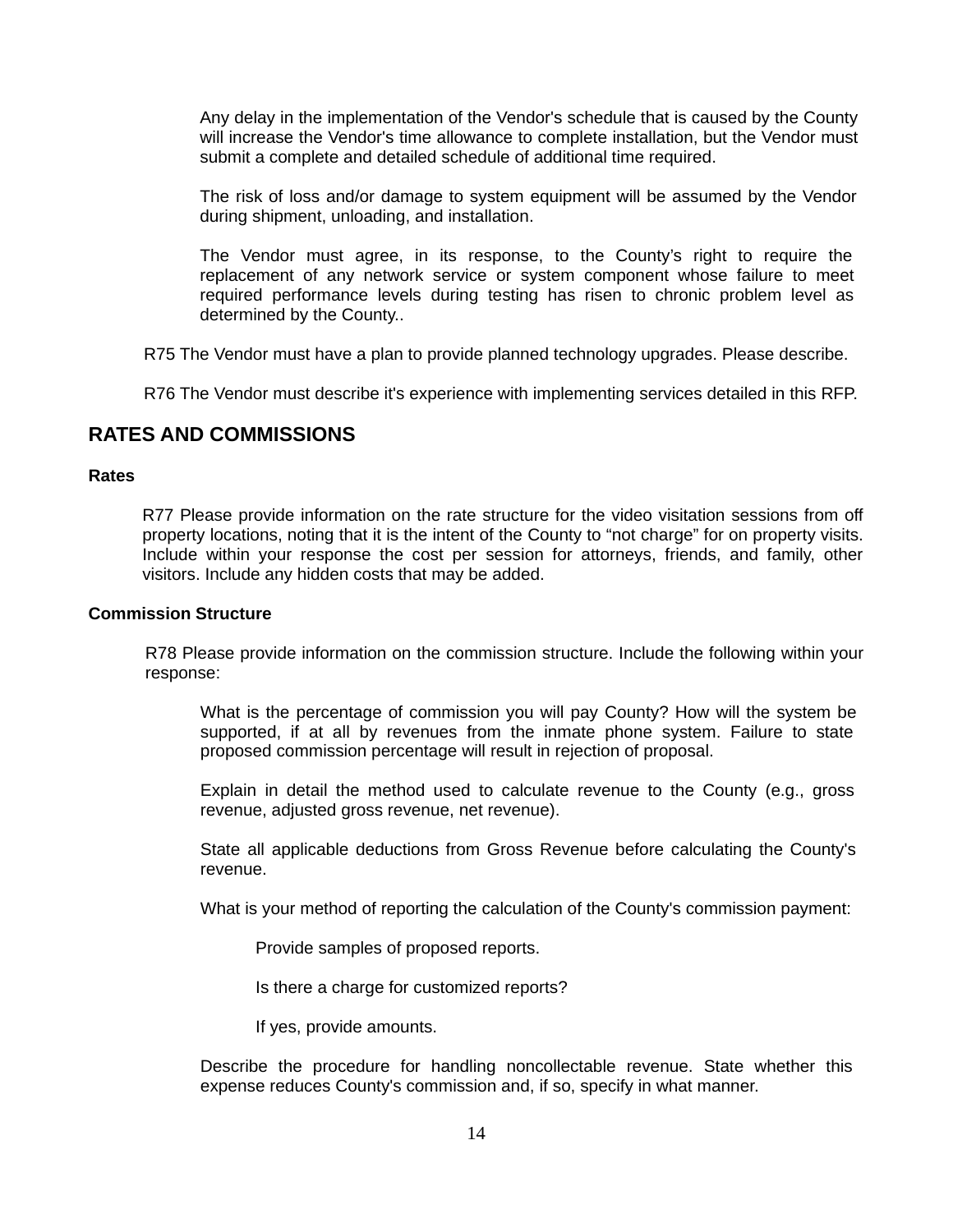Any delay in the implementation of the Vendor's schedule that is caused by the County will increase the Vendor's time allowance to complete installation, but the Vendor must submit a complete and detailed schedule of additional time required.

The risk of loss and/or damage to system equipment will be assumed by the Vendor during shipment, unloading, and installation.

The Vendor must agree, in its response, to the County's right to require the replacement of any network service or system component whose failure to meet required performance levels during testing has risen to chronic problem level as determined by the County..

R75 The Vendor must have a plan to provide planned technology upgrades. Please describe.

R76 The Vendor must describe it's experience with implementing services detailed in this RFP.

# **RATES AND COMMISSIONS**

# **Rates**

R77 Please provide information on the rate structure for the video visitation sessions from off property locations, noting that it is the intent of the County to "not charge" for on property visits. Include within your response the cost per session for attorneys, friends, and family, other visitors. Include any hidden costs that may be added.

## **Commission Structure**

R78 Please provide information on the commission structure. Include the following within your response:

What is the percentage of commission you will pay County? How will the system be supported, if at all by revenues from the inmate phone system. Failure to state proposed commission percentage will result in rejection of proposal.

Explain in detail the method used to calculate revenue to the County (e.g., gross revenue, adjusted gross revenue, net revenue).

State all applicable deductions from Gross Revenue before calculating the County's revenue.

What is your method of reporting the calculation of the County's commission payment:

Provide samples of proposed reports.

Is there a charge for customized reports?

If yes, provide amounts.

Describe the procedure for handling noncollectable revenue. State whether this expense reduces County's commission and, if so, specify in what manner.